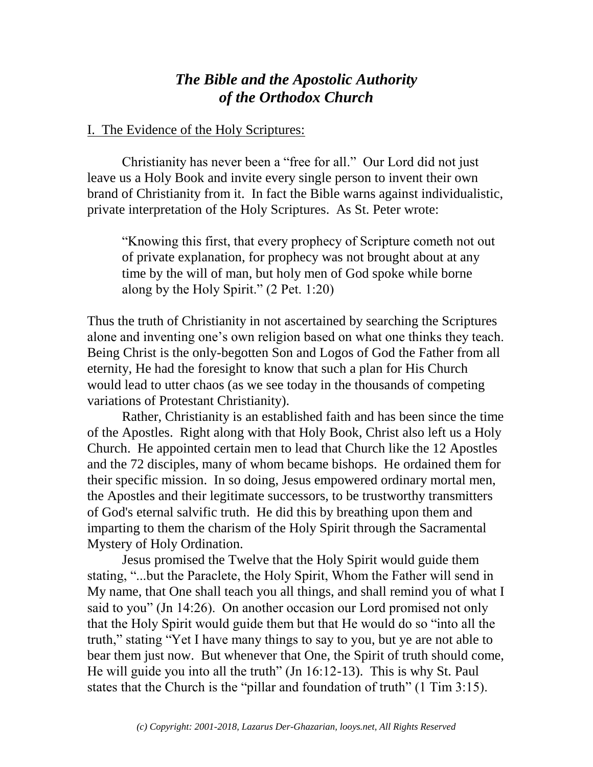## *The Bible and the Apostolic Authority of the Orthodox Church*

## I. The Evidence of the Holy Scriptures:

Christianity has never been a "free for all." Our Lord did not just leave us a Holy Book and invite every single person to invent their own brand of Christianity from it. In fact the Bible warns against individualistic, private interpretation of the Holy Scriptures. As St. Peter wrote:

"Knowing this first, that every prophecy of Scripture cometh not out of private explanation, for prophecy was not brought about at any time by the will of man, but holy men of God spoke while borne along by the Holy Spirit." (2 Pet. 1:20)

Thus the truth of Christianity in not ascertained by searching the Scriptures alone and inventing one's own religion based on what one thinks they teach. Being Christ is the only-begotten Son and Logos of God the Father from all eternity, He had the foresight to know that such a plan for His Church would lead to utter chaos (as we see today in the thousands of competing variations of Protestant Christianity).

Rather, Christianity is an established faith and has been since the time of the Apostles. Right along with that Holy Book, Christ also left us a Holy Church. He appointed certain men to lead that Church like the 12 Apostles and the 72 disciples, many of whom became bishops. He ordained them for their specific mission. In so doing, Jesus empowered ordinary mortal men, the Apostles and their legitimate successors, to be trustworthy transmitters of God's eternal salvific truth. He did this by breathing upon them and imparting to them the charism of the Holy Spirit through the Sacramental Mystery of Holy Ordination.

 Jesus promised the Twelve that the Holy Spirit would guide them stating, "...but the Paraclete, the Holy Spirit, Whom the Father will send in My name, that One shall teach you all things, and shall remind you of what I said to you" (Jn 14:26). On another occasion our Lord promised not only that the Holy Spirit would guide them but that He would do so "into all the truth," stating "Yet I have many things to say to you, but ye are not able to bear them just now. But whenever that One, the Spirit of truth should come, He will guide you into all the truth" (Jn 16:12-13). This is why St. Paul states that the Church is the "pillar and foundation of truth" (1 Tim 3:15).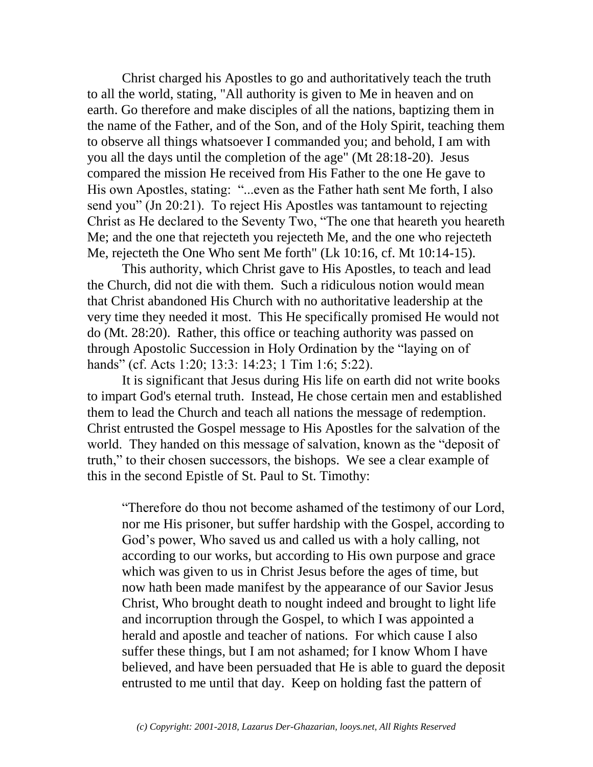Christ charged his Apostles to go and authoritatively teach the truth to all the world, stating, "All authority is given to Me in heaven and on earth. Go therefore and make disciples of all the nations, baptizing them in the name of the Father, and of the Son, and of the Holy Spirit, teaching them to observe all things whatsoever I commanded you; and behold, I am with you all the days until the completion of the age" (Mt 28:18-20). Jesus compared the mission He received from His Father to the one He gave to His own Apostles, stating: "...even as the Father hath sent Me forth, I also send you" (Jn 20:21). To reject His Apostles was tantamount to rejecting Christ as He declared to the Seventy Two, "The one that heareth you heareth Me; and the one that rejecteth you rejecteth Me, and the one who rejecteth Me, rejecteth the One Who sent Me forth" (Lk 10:16, cf. Mt 10:14-15).

This authority, which Christ gave to His Apostles, to teach and lead the Church, did not die with them. Such a ridiculous notion would mean that Christ abandoned His Church with no authoritative leadership at the very time they needed it most. This He specifically promised He would not do (Mt. 28:20). Rather, this office or teaching authority was passed on through Apostolic Succession in Holy Ordination by the "laying on of hands" (cf. Acts 1:20; 13:3: 14:23; 1 Tim 1:6; 5:22).

It is significant that Jesus during His life on earth did not write books to impart God's eternal truth. Instead, He chose certain men and established them to lead the Church and teach all nations the message of redemption. Christ entrusted the Gospel message to His Apostles for the salvation of the world. They handed on this message of salvation, known as the "deposit of truth," to their chosen successors, the bishops. We see a clear example of this in the second Epistle of St. Paul to St. Timothy:

"Therefore do thou not become ashamed of the testimony of our Lord, nor me His prisoner, but suffer hardship with the Gospel, according to God's power, Who saved us and called us with a holy calling, not according to our works, but according to His own purpose and grace which was given to us in Christ Jesus before the ages of time, but now hath been made manifest by the appearance of our Savior Jesus Christ, Who brought death to nought indeed and brought to light life and incorruption through the Gospel, to which I was appointed a herald and apostle and teacher of nations. For which cause I also suffer these things, but I am not ashamed; for I know Whom I have believed, and have been persuaded that He is able to guard the deposit entrusted to me until that day. Keep on holding fast the pattern of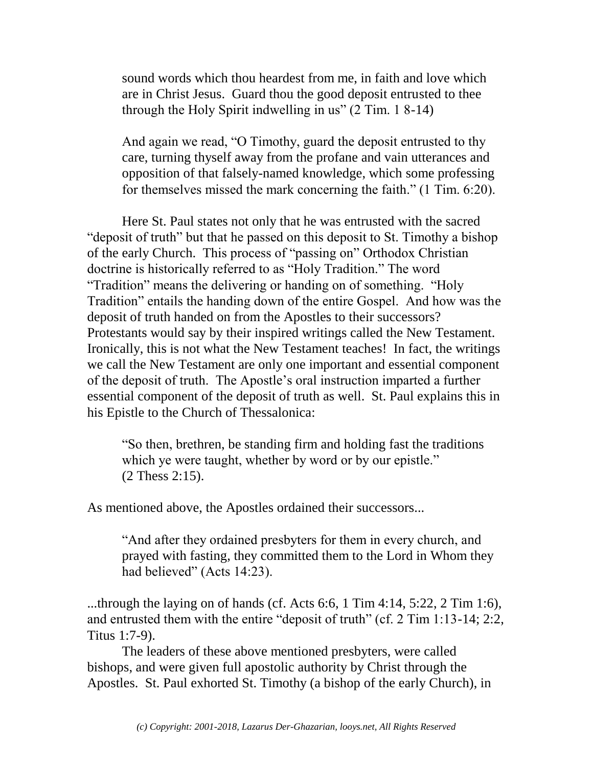sound words which thou heardest from me, in faith and love which are in Christ Jesus. Guard thou the good deposit entrusted to thee through the Holy Spirit indwelling in us" (2 Tim. 1 8-14)

And again we read, "O Timothy, guard the deposit entrusted to thy care, turning thyself away from the profane and vain utterances and opposition of that falsely-named knowledge, which some professing for themselves missed the mark concerning the faith." (1 Tim. 6:20).

Here St. Paul states not only that he was entrusted with the sacred "deposit of truth" but that he passed on this deposit to St. Timothy a bishop of the early Church. This process of "passing on" Orthodox Christian doctrine is historically referred to as "Holy Tradition." The word "Tradition" means the delivering or handing on of something. "Holy Tradition" entails the handing down of the entire Gospel. And how was the deposit of truth handed on from the Apostles to their successors? Protestants would say by their inspired writings called the New Testament. Ironically, this is not what the New Testament teaches! In fact, the writings we call the New Testament are only one important and essential component of the deposit of truth. The Apostle's oral instruction imparted a further essential component of the deposit of truth as well. St. Paul explains this in his Epistle to the Church of Thessalonica:

"So then, brethren, be standing firm and holding fast the traditions which ye were taught, whether by word or by our epistle." (2 Thess 2:15).

As mentioned above, the Apostles ordained their successors...

"And after they ordained presbyters for them in every church, and prayed with fasting, they committed them to the Lord in Whom they had believed" (Acts 14:23).

...through the laying on of hands (cf. Acts 6:6, 1 Tim 4:14, 5:22, 2 Tim 1:6), and entrusted them with the entire "deposit of truth" (cf. 2 Tim 1:13-14; 2:2, Titus 1:7-9).

The leaders of these above mentioned presbyters, were called bishops, and were given full apostolic authority by Christ through the Apostles. St. Paul exhorted St. Timothy (a bishop of the early Church), in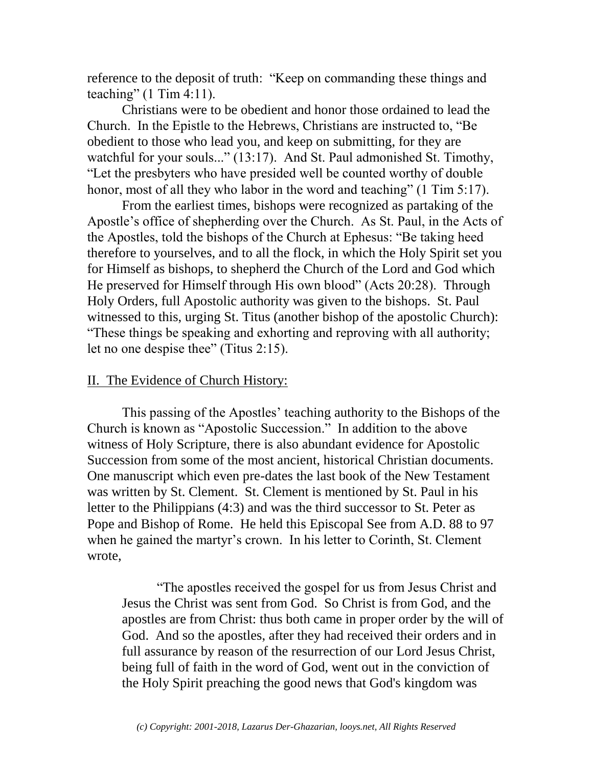reference to the deposit of truth: "Keep on commanding these things and teaching"  $(1$  Tim 4:11).

Christians were to be obedient and honor those ordained to lead the Church. In the Epistle to the Hebrews, Christians are instructed to, "Be obedient to those who lead you, and keep on submitting, for they are watchful for your souls..." (13:17). And St. Paul admonished St. Timothy, "Let the presbyters who have presided well be counted worthy of double honor, most of all they who labor in the word and teaching" (1 Tim 5:17).

From the earliest times, bishops were recognized as partaking of the Apostle's office of shepherding over the Church. As St. Paul, in the Acts of the Apostles, told the bishops of the Church at Ephesus: "Be taking heed therefore to yourselves, and to all the flock, in which the Holy Spirit set you for Himself as bishops, to shepherd the Church of the Lord and God which He preserved for Himself through His own blood" (Acts 20:28). Through Holy Orders, full Apostolic authority was given to the bishops. St. Paul witnessed to this, urging St. Titus (another bishop of the apostolic Church): "These things be speaking and exhorting and reproving with all authority; let no one despise thee" (Titus 2:15).

## II. The Evidence of Church History:

This passing of the Apostles' teaching authority to the Bishops of the Church is known as "Apostolic Succession." In addition to the above witness of Holy Scripture, there is also abundant evidence for Apostolic Succession from some of the most ancient, historical Christian documents. One manuscript which even pre-dates the last book of the New Testament was written by St. Clement. St. Clement is mentioned by St. Paul in his letter to the Philippians (4:3) and was the third successor to St. Peter as Pope and Bishop of Rome. He held this Episcopal See from A.D. 88 to 97 when he gained the martyr's crown. In his letter to Corinth, St. Clement wrote,

"The apostles received the gospel for us from Jesus Christ and Jesus the Christ was sent from God. So Christ is from God, and the apostles are from Christ: thus both came in proper order by the will of God. And so the apostles, after they had received their orders and in full assurance by reason of the resurrection of our Lord Jesus Christ, being full of faith in the word of God, went out in the conviction of the Holy Spirit preaching the good news that God's kingdom was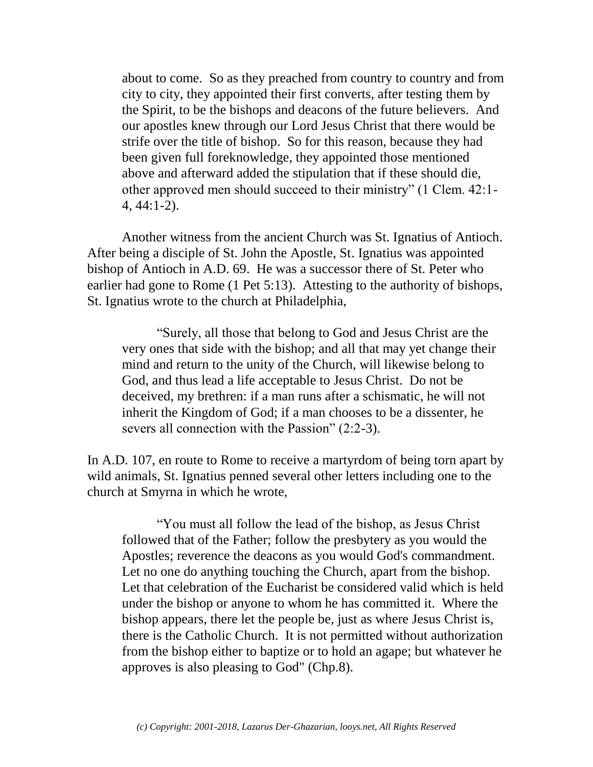about to come. So as they preached from country to country and from city to city, they appointed their first converts, after testing them by the Spirit, to be the bishops and deacons of the future believers. And our apostles knew through our Lord Jesus Christ that there would be strife over the title of bishop. So for this reason, because they had been given full foreknowledge, they appointed those mentioned above and afterward added the stipulation that if these should die, other approved men should succeed to their ministry" (1 Clem. 42:1- 4, 44:1-2).

Another witness from the ancient Church was St. Ignatius of Antioch. After being a disciple of St. John the Apostle, St. Ignatius was appointed bishop of Antioch in A.D. 69. He was a successor there of St. Peter who earlier had gone to Rome (1 Pet 5:13). Attesting to the authority of bishops, St. Ignatius wrote to the church at Philadelphia,

"Surely, all those that belong to God and Jesus Christ are the very ones that side with the bishop; and all that may yet change their mind and return to the unity of the Church, will likewise belong to God, and thus lead a life acceptable to Jesus Christ. Do not be deceived, my brethren: if a man runs after a schismatic, he will not inherit the Kingdom of God; if a man chooses to be a dissenter, he severs all connection with the Passion" (2:2-3).

In A.D. 107, en route to Rome to receive a martyrdom of being torn apart by wild animals, St. Ignatius penned several other letters including one to the church at Smyrna in which he wrote,

"You must all follow the lead of the bishop, as Jesus Christ followed that of the Father; follow the presbytery as you would the Apostles; reverence the deacons as you would God's commandment. Let no one do anything touching the Church, apart from the bishop. Let that celebration of the Eucharist be considered valid which is held under the bishop or anyone to whom he has committed it. Where the bishop appears, there let the people be, just as where Jesus Christ is, there is the Catholic Church. It is not permitted without authorization from the bishop either to baptize or to hold an agape; but whatever he approves is also pleasing to God" (Chp.8).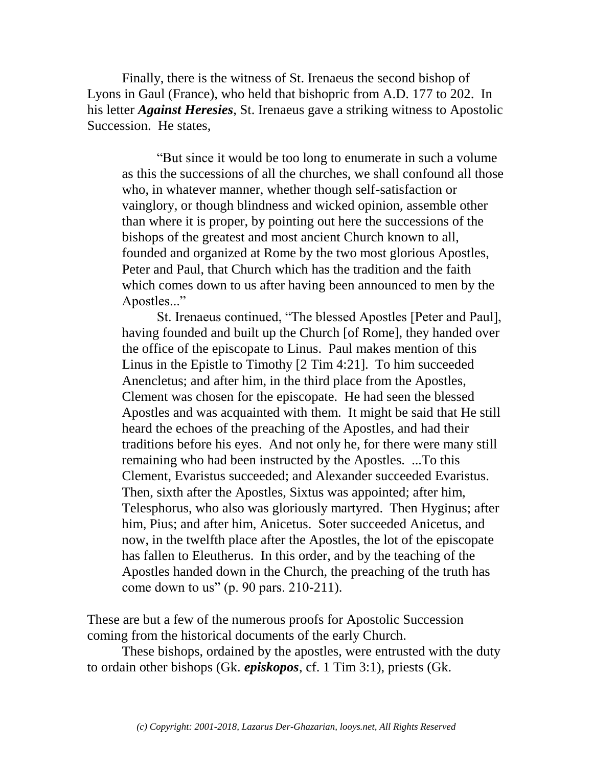Finally, there is the witness of St. Irenaeus the second bishop of Lyons in Gaul (France), who held that bishopric from A.D. 177 to 202. In his letter *Against Heresies*, St. Irenaeus gave a striking witness to Apostolic Succession. He states,

"But since it would be too long to enumerate in such a volume as this the successions of all the churches, we shall confound all those who, in whatever manner, whether though self-satisfaction or vainglory, or though blindness and wicked opinion, assemble other than where it is proper, by pointing out here the successions of the bishops of the greatest and most ancient Church known to all, founded and organized at Rome by the two most glorious Apostles, Peter and Paul, that Church which has the tradition and the faith which comes down to us after having been announced to men by the Apostles..."

St. Irenaeus continued, "The blessed Apostles [Peter and Paul], having founded and built up the Church [of Rome], they handed over the office of the episcopate to Linus. Paul makes mention of this Linus in the Epistle to Timothy [2 Tim 4:21]. To him succeeded Anencletus; and after him, in the third place from the Apostles, Clement was chosen for the episcopate. He had seen the blessed Apostles and was acquainted with them. It might be said that He still heard the echoes of the preaching of the Apostles, and had their traditions before his eyes. And not only he, for there were many still remaining who had been instructed by the Apostles. ...To this Clement, Evaristus succeeded; and Alexander succeeded Evaristus. Then, sixth after the Apostles, Sixtus was appointed; after him, Telesphorus, who also was gloriously martyred. Then Hyginus; after him, Pius; and after him, Anicetus. Soter succeeded Anicetus, and now, in the twelfth place after the Apostles, the lot of the episcopate has fallen to Eleutherus. In this order, and by the teaching of the Apostles handed down in the Church, the preaching of the truth has come down to us" (p. 90 pars. 210-211).

These are but a few of the numerous proofs for Apostolic Succession coming from the historical documents of the early Church.

These bishops, ordained by the apostles, were entrusted with the duty to ordain other bishops (Gk. *episkopos*, cf. 1 Tim 3:1), priests (Gk.